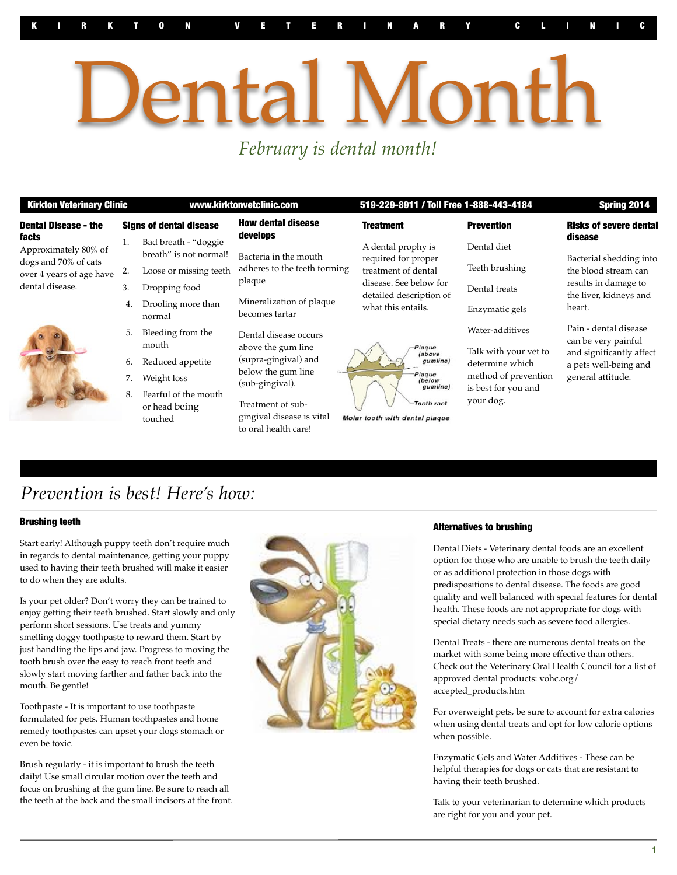# ental Month *February is dental month!*

| <b>Kirkton Veterinary Clinic</b>                                                                                                           |                                | www.kirktonvetclinic.com                                                                                          |                                                                                                                                                                | 519-229-8911 / Toll Free 1-888-443-4184                                                                                                     |                                                                                                                         | Spring 2014                                                                                                            |
|--------------------------------------------------------------------------------------------------------------------------------------------|--------------------------------|-------------------------------------------------------------------------------------------------------------------|----------------------------------------------------------------------------------------------------------------------------------------------------------------|---------------------------------------------------------------------------------------------------------------------------------------------|-------------------------------------------------------------------------------------------------------------------------|------------------------------------------------------------------------------------------------------------------------|
| <b>Dental Disease - the</b><br><b>facts</b><br>Approximately 80% of<br>dogs and 70% of cats<br>over 4 years of age have<br>dental disease. | <b>Signs of dental disease</b> |                                                                                                                   | <b>How dental disease</b>                                                                                                                                      | <b>Treatment</b>                                                                                                                            | <b>Prevention</b>                                                                                                       | <b>Risks of severe dental</b>                                                                                          |
|                                                                                                                                            | 1.<br>2.<br>3.                 | Bad breath - "doggie<br>breath" is not normal!<br>Loose or missing teeth<br>Dropping food                         | develops<br>Bacteria in the mouth<br>adheres to the teeth forming<br>plaque<br>Mineralization of plaque<br>becomes tartar                                      | A dental prophy is<br>required for proper<br>treatment of dental<br>disease. See below for<br>detailed description of<br>what this entails. | Dental diet<br>Teeth brushing<br>Dental treats                                                                          | disease<br>Bacterial shedding into<br>the blood stream can<br>results in damage to<br>the liver, kidneys and<br>heart. |
|                                                                                                                                            |                                | Drooling more than<br>normal                                                                                      |                                                                                                                                                                |                                                                                                                                             | Enzymatic gels                                                                                                          |                                                                                                                        |
|                                                                                                                                            | 5.<br>6.<br>8.                 | Bleeding from the<br>mouth<br>Reduced appetite<br>Weight loss<br>Fearful of the mouth<br>or head being<br>touched | Dental disease occurs<br>above the gum line<br>(supra-gingival) and<br>below the gum line<br>(sub-gingival).<br>Treatment of sub-<br>gingival disease is vital | Plaque<br>(above)<br>gumline)<br>Plaque<br>(below<br>gumline)<br><b>Tooth root</b><br>Molar tooth with dental plaque                        | Water-additives<br>Talk with your vet to<br>determine which<br>method of prevention<br>is best for you and<br>your dog. | Pain - dental disease<br>can be very painful<br>and significantly affect<br>a pets well-being and<br>general attitude. |

### *Prevention is best! Here's how:*

#### Brushing teeth

Start early! Although puppy teeth don't require much in regards to dental maintenance, getting your puppy used to having their teeth brushed will make it easier to do when they are adults.

Is your pet older? Don't worry they can be trained to enjoy getting their teeth brushed. Start slowly and only perform short sessions. Use treats and yummy smelling doggy toothpaste to reward them. Start by just handling the lips and jaw. Progress to moving the tooth brush over the easy to reach front teeth and slowly start moving farther and father back into the mouth. Be gentle!

Toothpaste - It is important to use toothpaste formulated for pets. Human toothpastes and home remedy toothpastes can upset your dogs stomach or even be toxic.

Brush regularly - it is important to brush the teeth daily! Use small circular motion over the teeth and focus on brushing at the gum line. Be sure to reach all the teeth at the back and the small incisors at the front.



#### Alternatives to brushing

Dental Diets - Veterinary dental foods are an excellent option for those who are unable to brush the teeth daily or as additional protection in those dogs with predispositions to dental disease. The foods are good quality and well balanced with special features for dental health. These foods are not appropriate for dogs with special dietary needs such as severe food allergies.

Dental Treats - there are numerous dental treats on the market with some being more effective than others. Check out the Veterinary Oral Health Council for a list of approved dental products: vohc.org/ accepted\_products.htm

For overweight pets, be sure to account for extra calories when using dental treats and opt for low calorie options when possible.

Enzymatic Gels and Water Additives - These can be helpful therapies for dogs or cats that are resistant to having their teeth brushed.

Talk to your veterinarian to determine which products are right for you and your pet.